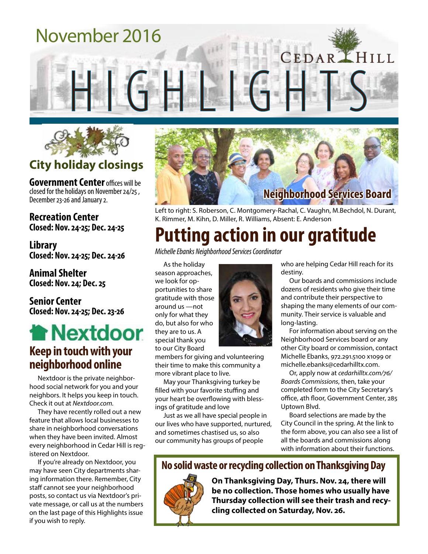## November 2016

HGHL



### **City holiday closings**

**Government Center** offices will be closed for the holidays on November 24/25 , December 23-26 and January 2.

**Recreation Center Closed: Nov. 24-25; Dec. 24-25**

**Library Closed: Nov. 24-25; Dec. 24-26**

**Animal Shelter Closed: Nov. 24; Dec. 25**

**Senior Center Closed: Nov. 24-25; Dec. 23-26**

## **Thextdoor Keep in touch with your neighborhood online**

Nextdoor is the private neighborhood social network for you and your neighbors. It helps you keep in touch. Check it out at *Nextdoor.com.*

They have recently rolled out a new feature that allows local businesses to share in neighborhood conversations when they have been invited. Almost every neighborhood in Cedar Hill is registered on Nextdoor.

If you're already on Nextdoor, you may have seen City departments sharing information there. Remember, City staff cannot see your neighborhood posts, so contact us via Nextdoor's private message, or call us at the numbers on the last page of this Highlights issue if you wish to reply.



Left to right: S. Roberson, C. Montgomery-Rachal, C. Vaughn, M.Bechdol, N. Durant, K. Rimmer, M. Kihn, D. Miller, R. Williams, Absent: E. Anderson

## **Putting action in our gratitude**

*Michelle Ebanks Neighborhood Services Coordinator*

As the holiday season approaches, we look for opportunities to share gratitude with those around us —not only for what they do, but also for who they are to us. A special thank you to our City Board

members for giving and volunteering their time to make this community a more vibrant place to live.

May your Thanksgiving turkey be filled with your favorite stuffing and your heart be overflowing with blessings of gratitude and love

Just as we all have special people in our lives who have supported, nurtured, and sometimes chastised us, so also our community has groups of people

who are helping Cedar Hill reach for its destiny.

CEDARLHILL

Our boards and commissions include dozens of residents who give their time and contribute their perspective to shaping the many elements of our community. Their service is valuable and long-lasting.

For information about serving on the Neighborhood Services board or any other City board or commission, contact Michelle Ebanks, 972.291.5100 x1099 or michelle.ebanks@cedarhilltx.com.

Or, apply now at *cedarhilltx.com/76/ Boards Commissions*, then, take your completed form to the City Secretary's office, 4th floor, Government Center, 285 Uptown Blvd.

Board selections are made by the City Council in the spring. At the link to the form above, you can also see a list of all the boards and commissions along with information about their functions.

#### **No solid waste or recycling collection on Thanksgiving Day**



**On Thanksgiving Day, Thurs. Nov. 24, there will be no collection. Those homes who usually have Thursday collection will see their trash and recycling collected on Saturday, Nov. 26.**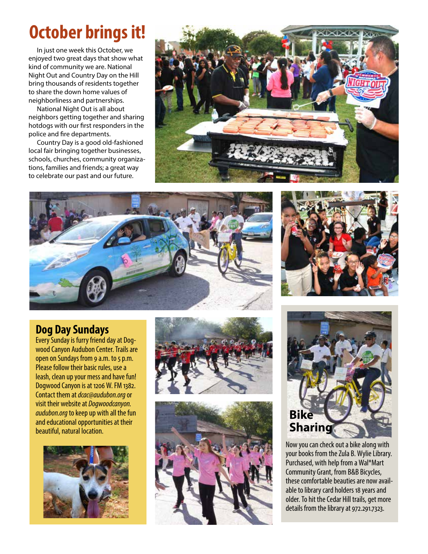## **October brings it!**

In just one week this October, we enjoyed two great days that show what kind of community we are. National Night Out and Country Day on the Hill bring thousands of residents together to share the down home values of neighborliness and partnerships.

National Night Out is all about neighbors getting together and sharing hotdogs with our first responders in the police and fire departments.

Country Day is a good old-fashioned local fair bringing together businesses, schools, churches, community organizations, families and friends; a great way to celebrate our past and our future.







#### **Dog Day Sundays**

Every Sunday is furry friend day at Dogwood Canyon Audubon Center. Trails are open on Sundays from 9 a.m. to 5 p.m. Please follow their basic rules, use a leash, clean up your mess and have fun! Dogwood Canyon is at 1206 W. FM 1382. Contact them at *dcac@audubon.org* or visit their website at *Dogwoodcanyon. audubon.org* to keep up with all the fun and educational opportunities at their beautiful, natural location.









Now you can check out a bike along with your books from the Zula B. Wylie Library. Purchased, with help from a Wal\*Mart Community Grant, from B&B Bicycles, these comfortable beauties are now available to library card holders 18 years and older. To hit the Cedar Hill trails, get more details from the library at 972.291.7323.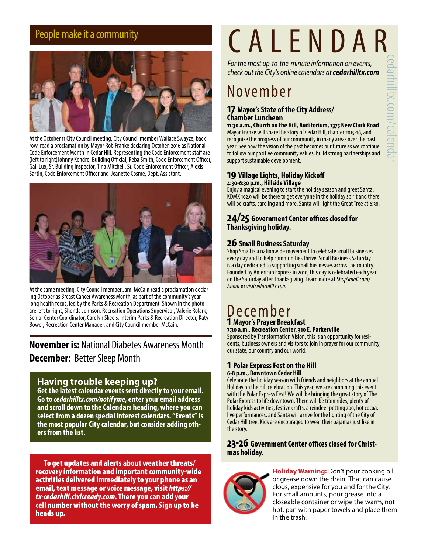

At the October 11 City Council meeting, City Council member Wallace Swayze, back row, read a proclamation by Mayor Rob Franke declaring October, 2016 as National Code Enforcement Month in Cedar Hill. Representing the Code Enforcement staff are (left to right)Johnny Kendro, Building Official, Reba Smith, Code Enforcement Officer, Gail Lux, Sr. Building Inspector, Tina Mitchell, Sr. Code Enforcement Officer, Alexis Sartin, Code Enforcement Officer and Jeanette Cosme, Dept. Assistant.



At the same meeting, City Council member Jami McCain read a proclamation declaring October as Breast Cancer Awareness Month, as part of the community's yearlong health focus, led by the Parks & Recreation Department. Shown in the photo are left to right, Shonda Johnson, Recreation Operations Supervisor, Valerie Rolark, Senior Center Coordinator, Carolyn Skeels, Interim Parks & Recreation Director, Katy Bower, Recreation Center Manager, and City Council member McCain.

#### **November is:** National Diabetes Awareness Month **December:** Better Sleep Month

#### **Having trouble keeping up?**

**Get the latest calendar events sent directly to your email. Go to** *cedarhilltx.com/notifyme***, enter your email address and scroll down to the Calendars heading, where you can select from a dozen special interest calendars. "Events" is the most popular City calendar, but consider adding others from the list.**

To get updates and alerts about weather threats/ recovery information and important community-wide activities delivered immediately to your phone as an email, text message or voice message, visit *https:// tx-cedarhill.civicready.com*. There you can add your cell number without the worry of spam. Sign up to be heads up.

# People make it a community **CALENDAR**

*For the most up-to-the-minute information on events, check out the City's online calendars at cedarhilltx.com*

## November

#### **17 Mayor's State of the City Address/ Chamber Luncheon**

**11:30 a.m., Church on the Hill, Auditorium, 1375 New Clark Road** Mayor Franke will share the story of Cedar Hill, chapter 2015-16, and recognize the progress of our community in many areas over the past year. See how the vision of the past becomes our future as we continue to follow our positive community values, build strong partnerships and support sustainable development.

#### **19 Village Lights, Holiday Kickoff 4:30-6:30 p.m., Hillside Village**

Enjoy a magical evening to start the holiday season and greet Santa. KDMX 102.9 will be there to get everyone in the holiday spirit and there will be crafts, caroling and more. Santa will light the Great Tree at 6:30.

#### **24/25 Government Center offices closed for Thanksgiving holiday.**

#### **26 Small Business Saturday**

Shop Small is a nationwide movement to celebrate small businesses every day and to help communities thrive. Small Business Saturday is a day dedicated to supporting small businesses across the country. Founded by American Express in 2010, this day is celebrated each year on the Saturday after Thanksgiving. Learn more at *ShopSmall.com/ About* or *visitcedarhilltx.com.*

#### December **1 Mayor's Prayer Breakfast**

**7:30 a.m., Recreation Center, 310 E. Parkerville** dents, business owners and visitors to join in prayer for our community,

#### **1 Polar Express Fest on the Hill 6-8 p.m., Downtown Cedar Hill**

our state, our country and our world.

Celebrate the holiday season with friends and neighbors at the annual Holiday on the Hill celebration. This year, we are combining this event with the Polar Express Fest! We will be bringing the great story of The Polar Express to life downtown. There will be train rides, plenty of holiday kids activities, festive crafts, a reindeer petting zoo, hot cocoa, live performances, and Santa will arrive for the lighting of the City of Cedar Hill tree. Kids are encouraged to wear their pajamas just like in the story.

## **23-26 Government Center offices closed for Christ- mas holiday.**



**Holiday Warning:** Don't pour cooking oil or grease down the drain. That can cause clogs, expensive for you and for the City. For small amounts, pour grease into a closeable container or wipe the warm, not hot, pan with paper towels and place them in the trash.